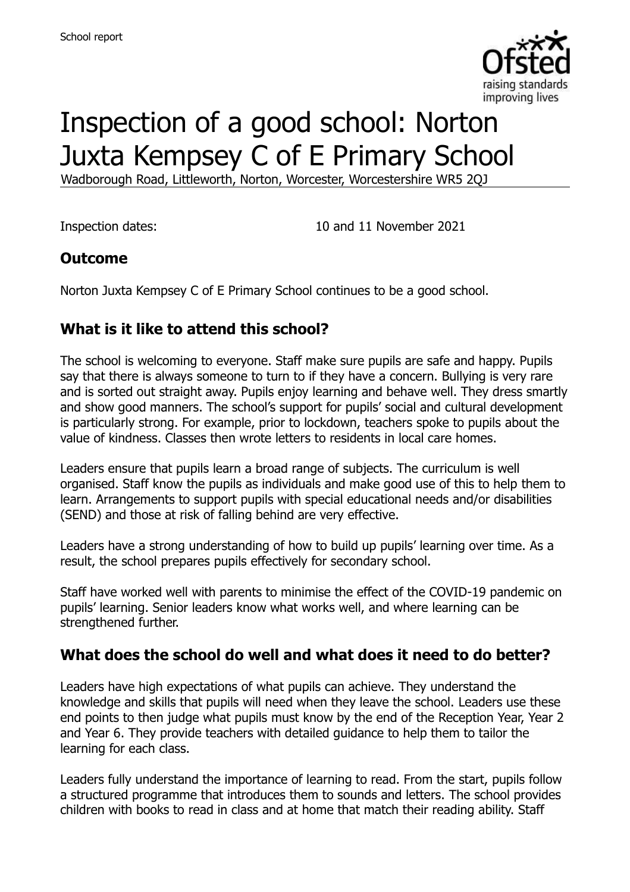

# Inspection of a good school: Norton Juxta Kempsey C of E Primary School

Wadborough Road, Littleworth, Norton, Worcester, Worcestershire WR5 2QJ

Inspection dates: 10 and 11 November 2021

#### **Outcome**

Norton Juxta Kempsey C of E Primary School continues to be a good school.

### **What is it like to attend this school?**

The school is welcoming to everyone. Staff make sure pupils are safe and happy. Pupils say that there is always someone to turn to if they have a concern. Bullying is very rare and is sorted out straight away. Pupils enjoy learning and behave well. They dress smartly and show good manners. The school's support for pupils' social and cultural development is particularly strong. For example, prior to lockdown, teachers spoke to pupils about the value of kindness. Classes then wrote letters to residents in local care homes.

Leaders ensure that pupils learn a broad range of subjects. The curriculum is well organised. Staff know the pupils as individuals and make good use of this to help them to learn. Arrangements to support pupils with special educational needs and/or disabilities (SEND) and those at risk of falling behind are very effective.

Leaders have a strong understanding of how to build up pupils' learning over time. As a result, the school prepares pupils effectively for secondary school.

Staff have worked well with parents to minimise the effect of the COVID-19 pandemic on pupils' learning. Senior leaders know what works well, and where learning can be strengthened further.

#### **What does the school do well and what does it need to do better?**

Leaders have high expectations of what pupils can achieve. They understand the knowledge and skills that pupils will need when they leave the school. Leaders use these end points to then judge what pupils must know by the end of the Reception Year, Year 2 and Year 6. They provide teachers with detailed guidance to help them to tailor the learning for each class.

Leaders fully understand the importance of learning to read. From the start, pupils follow a structured programme that introduces them to sounds and letters. The school provides children with books to read in class and at home that match their reading ability. Staff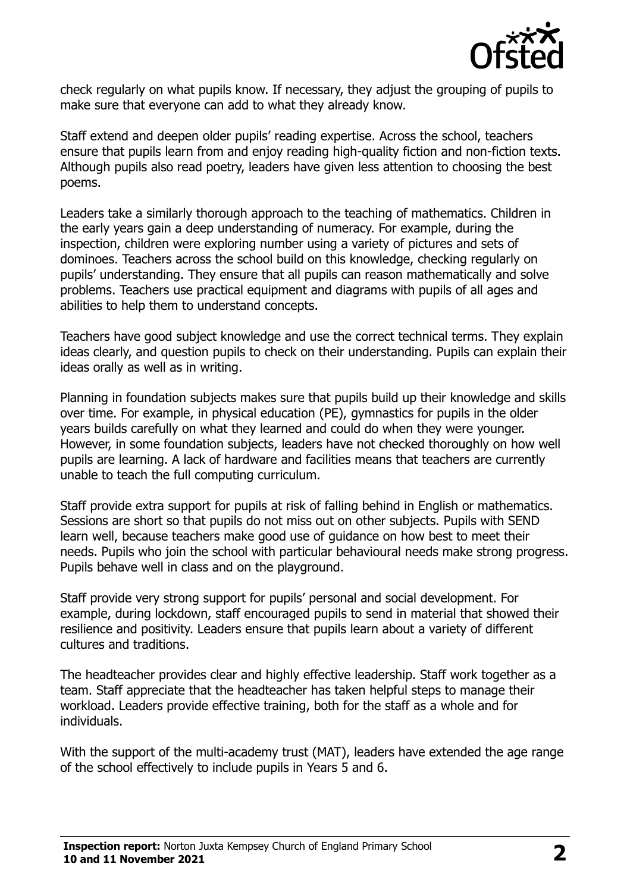

check regularly on what pupils know. If necessary, they adjust the grouping of pupils to make sure that everyone can add to what they already know.

Staff extend and deepen older pupils' reading expertise. Across the school, teachers ensure that pupils learn from and enjoy reading high-quality fiction and non-fiction texts. Although pupils also read poetry, leaders have given less attention to choosing the best poems.

Leaders take a similarly thorough approach to the teaching of mathematics. Children in the early years gain a deep understanding of numeracy. For example, during the inspection, children were exploring number using a variety of pictures and sets of dominoes. Teachers across the school build on this knowledge, checking regularly on pupils' understanding. They ensure that all pupils can reason mathematically and solve problems. Teachers use practical equipment and diagrams with pupils of all ages and abilities to help them to understand concepts.

Teachers have good subject knowledge and use the correct technical terms. They explain ideas clearly, and question pupils to check on their understanding. Pupils can explain their ideas orally as well as in writing.

Planning in foundation subjects makes sure that pupils build up their knowledge and skills over time. For example, in physical education (PE), gymnastics for pupils in the older years builds carefully on what they learned and could do when they were younger. However, in some foundation subjects, leaders have not checked thoroughly on how well pupils are learning. A lack of hardware and facilities means that teachers are currently unable to teach the full computing curriculum.

Staff provide extra support for pupils at risk of falling behind in English or mathematics. Sessions are short so that pupils do not miss out on other subjects. Pupils with SEND learn well, because teachers make good use of guidance on how best to meet their needs. Pupils who join the school with particular behavioural needs make strong progress. Pupils behave well in class and on the playground.

Staff provide very strong support for pupils' personal and social development. For example, during lockdown, staff encouraged pupils to send in material that showed their resilience and positivity. Leaders ensure that pupils learn about a variety of different cultures and traditions.

The headteacher provides clear and highly effective leadership. Staff work together as a team. Staff appreciate that the headteacher has taken helpful steps to manage their workload. Leaders provide effective training, both for the staff as a whole and for individuals.

With the support of the multi-academy trust (MAT), leaders have extended the age range of the school effectively to include pupils in Years 5 and 6.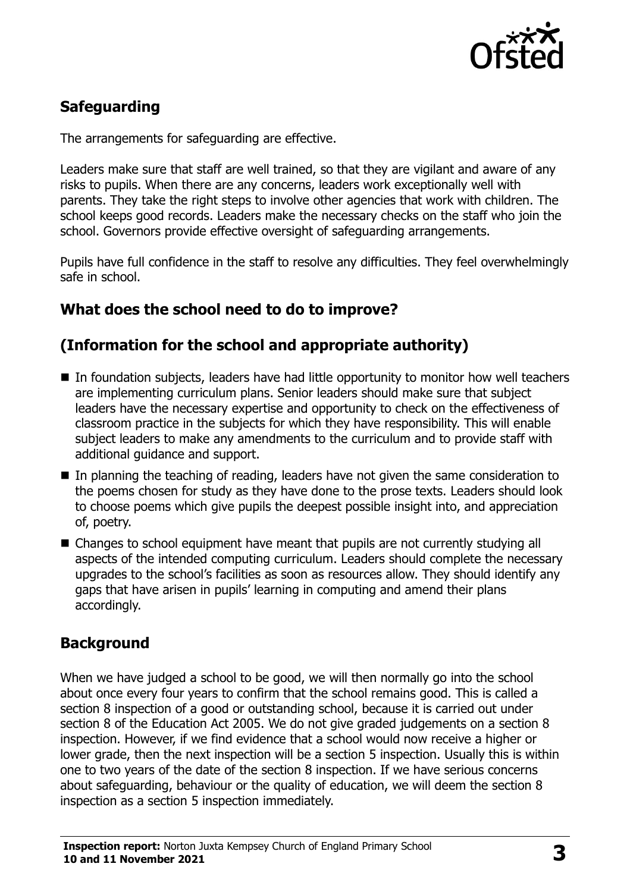

# **Safeguarding**

The arrangements for safeguarding are effective.

Leaders make sure that staff are well trained, so that they are vigilant and aware of any risks to pupils. When there are any concerns, leaders work exceptionally well with parents. They take the right steps to involve other agencies that work with children. The school keeps good records. Leaders make the necessary checks on the staff who join the school. Governors provide effective oversight of safeguarding arrangements.

Pupils have full confidence in the staff to resolve any difficulties. They feel overwhelmingly safe in school.

### **What does the school need to do to improve?**

# **(Information for the school and appropriate authority)**

- In foundation subjects, leaders have had little opportunity to monitor how well teachers are implementing curriculum plans. Senior leaders should make sure that subject leaders have the necessary expertise and opportunity to check on the effectiveness of classroom practice in the subjects for which they have responsibility. This will enable subject leaders to make any amendments to the curriculum and to provide staff with additional guidance and support.
- In planning the teaching of reading, leaders have not given the same consideration to the poems chosen for study as they have done to the prose texts. Leaders should look to choose poems which give pupils the deepest possible insight into, and appreciation of, poetry.
- Changes to school equipment have meant that pupils are not currently studying all aspects of the intended computing curriculum. Leaders should complete the necessary upgrades to the school's facilities as soon as resources allow. They should identify any gaps that have arisen in pupils' learning in computing and amend their plans accordingly.

### **Background**

When we have judged a school to be good, we will then normally go into the school about once every four years to confirm that the school remains good. This is called a section 8 inspection of a good or outstanding school, because it is carried out under section 8 of the Education Act 2005. We do not give graded judgements on a section 8 inspection. However, if we find evidence that a school would now receive a higher or lower grade, then the next inspection will be a section 5 inspection. Usually this is within one to two years of the date of the section 8 inspection. If we have serious concerns about safeguarding, behaviour or the quality of education, we will deem the section 8 inspection as a section 5 inspection immediately.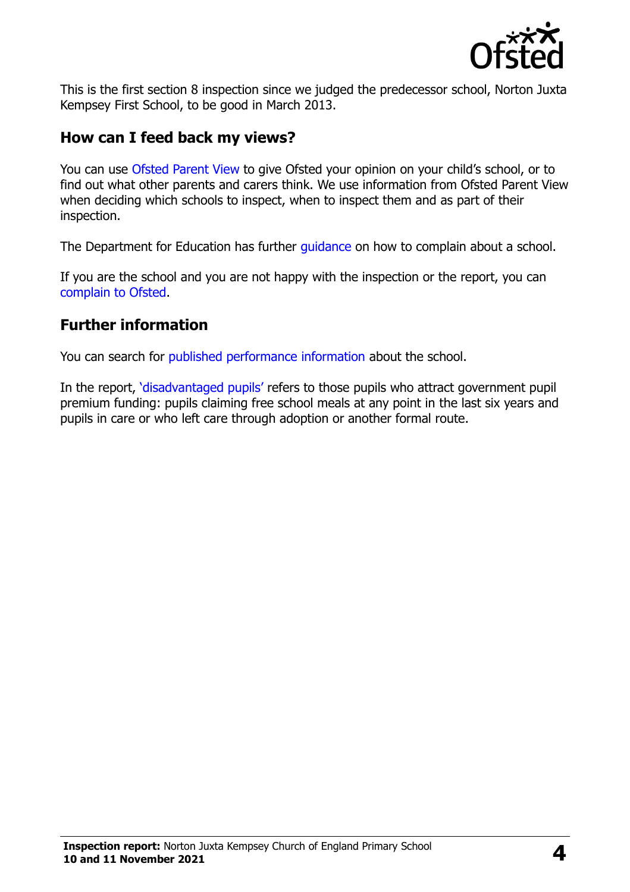

This is the first section 8 inspection since we judged the predecessor school, Norton Juxta Kempsey First School, to be good in March 2013.

#### **How can I feed back my views?**

You can use Ofsted [Parent View](https://parentview.ofsted.gov.uk/) to give Ofsted your opinion on your child's school, or to find out what other parents and carers think. We use information from Ofsted Parent View when deciding which schools to inspect, when to inspect them and as part of their inspection.

The Department for Education has further quidance on how to complain about a school.

If you are the school and you are not happy with the inspection or the report, you can [complain to Ofsted.](https://www.gov.uk/complain-ofsted-report)

#### **Further information**

You can search for [published performance information](http://www.compare-school-performance.service.gov.uk/) about the school.

In the report, '[disadvantaged pupils](http://www.gov.uk/guidance/pupil-premium-information-for-schools-and-alternative-provision-settings)' refers to those pupils who attract government pupil premium funding: pupils claiming free school meals at any point in the last six years and pupils in care or who left care through adoption or another formal route.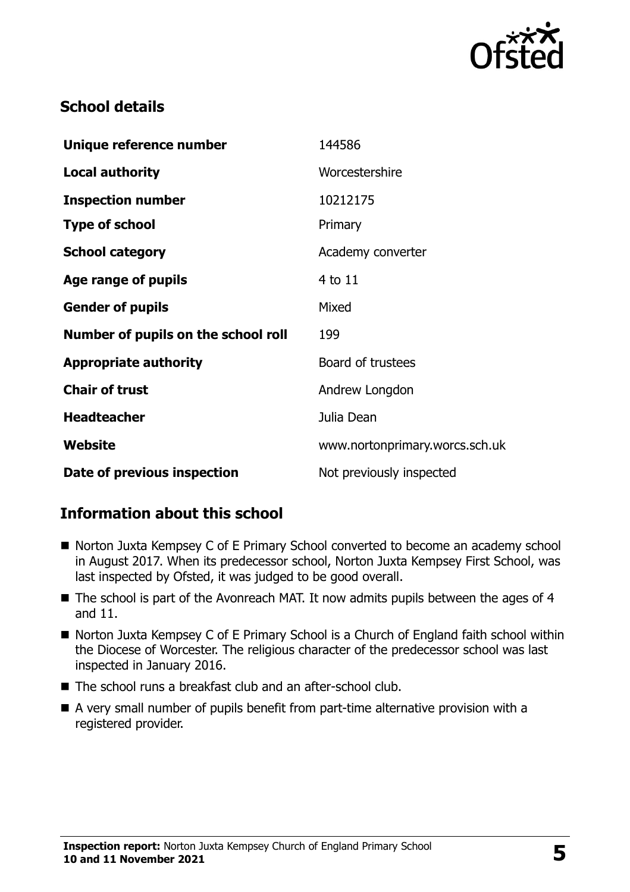

### **School details**

| Unique reference number             | 144586                         |
|-------------------------------------|--------------------------------|
| <b>Local authority</b>              | Worcestershire                 |
| <b>Inspection number</b>            | 10212175                       |
| <b>Type of school</b>               | Primary                        |
| <b>School category</b>              | Academy converter              |
| Age range of pupils                 | 4 to 11                        |
| <b>Gender of pupils</b>             | Mixed                          |
| Number of pupils on the school roll | 199                            |
| <b>Appropriate authority</b>        | Board of trustees              |
| <b>Chair of trust</b>               | Andrew Longdon                 |
| <b>Headteacher</b>                  | Julia Dean                     |
| Website                             | www.nortonprimary.worcs.sch.uk |
| Date of previous inspection         | Not previously inspected       |

### **Information about this school**

- Norton Juxta Kempsey C of E Primary School converted to become an academy school in August 2017. When its predecessor school, Norton Juxta Kempsey First School, was last inspected by Ofsted, it was judged to be good overall.
- The school is part of the Avonreach MAT. It now admits pupils between the ages of 4 and 11.
- Norton Juxta Kempsey C of E Primary School is a Church of England faith school within the Diocese of Worcester. The religious character of the predecessor school was last inspected in January 2016.
- The school runs a breakfast club and an after-school club.
- A very small number of pupils benefit from part-time alternative provision with a registered provider.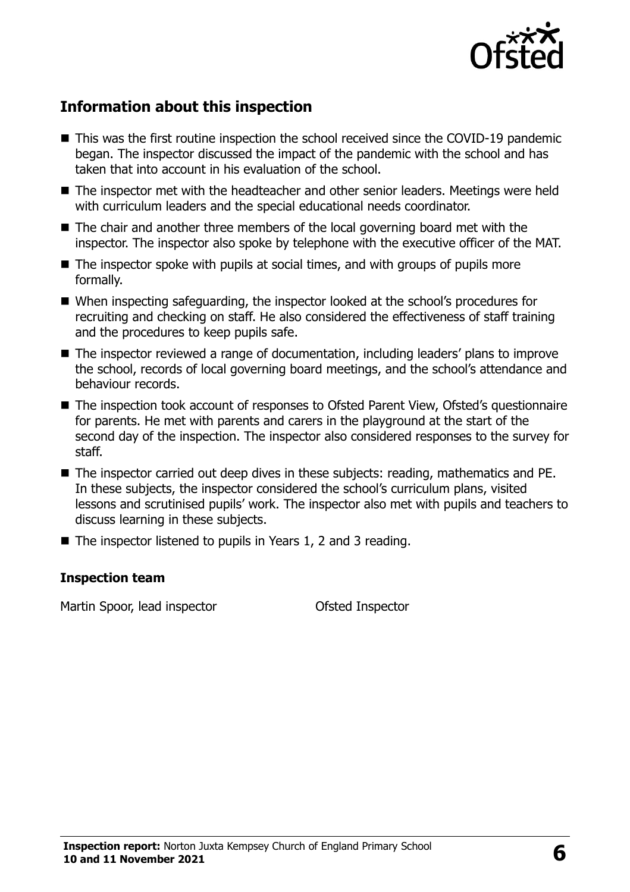

# **Information about this inspection**

- This was the first routine inspection the school received since the COVID-19 pandemic began. The inspector discussed the impact of the pandemic with the school and has taken that into account in his evaluation of the school.
- The inspector met with the headteacher and other senior leaders. Meetings were held with curriculum leaders and the special educational needs coordinator.
- The chair and another three members of the local governing board met with the inspector. The inspector also spoke by telephone with the executive officer of the MAT.
- The inspector spoke with pupils at social times, and with groups of pupils more formally.
- When inspecting safeguarding, the inspector looked at the school's procedures for recruiting and checking on staff. He also considered the effectiveness of staff training and the procedures to keep pupils safe.
- The inspector reviewed a range of documentation, including leaders' plans to improve the school, records of local governing board meetings, and the school's attendance and behaviour records.
- The inspection took account of responses to Ofsted Parent View, Ofsted's questionnaire for parents. He met with parents and carers in the playground at the start of the second day of the inspection. The inspector also considered responses to the survey for staff.
- The inspector carried out deep dives in these subjects: reading, mathematics and PE. In these subjects, the inspector considered the school's curriculum plans, visited lessons and scrutinised pupils' work. The inspector also met with pupils and teachers to discuss learning in these subjects.
- The inspector listened to pupils in Years 1, 2 and 3 reading.

#### **Inspection team**

Martin Spoor, lead inspector **Contact Contact Contact Contact Contact Contact Contact Contact Contact Contact Contact Contact Contact Contact Contact Contact Contact Contact Contact Contact Contact Contact Contact Contact**